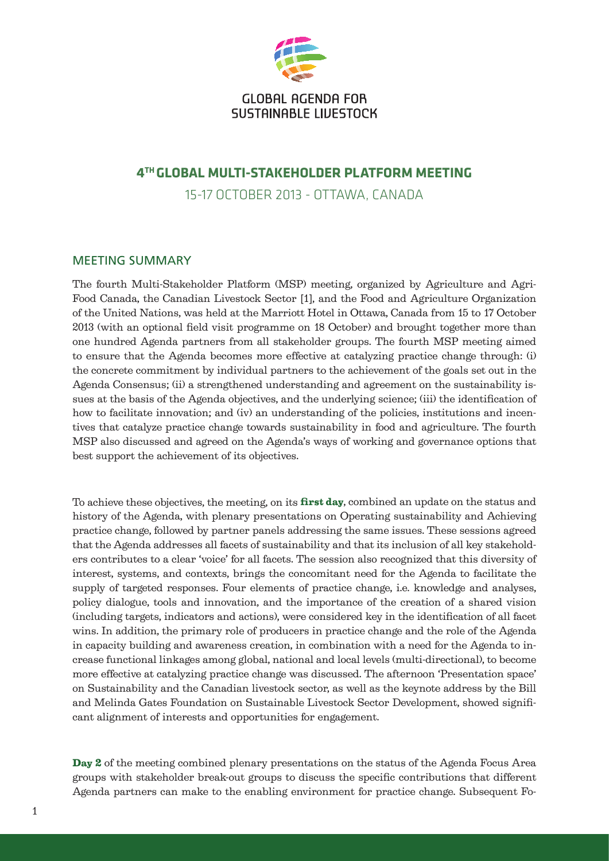

## **GLOBAL AGENDA FOR** SUSTAINABLE LIVESTOCK

## **4th Global multi-stakeholder platform meeting**

15-17 October 2013 - Ottawa, Canada

## Meeting Summary

The fourth Multi-Stakeholder Platform (MSP) meeting, organized by Agriculture and Agri-Food Canada, the Canadian Livestock Sector [1], and the Food and Agriculture Organization of the United Nations, was held at the Marriott Hotel in Ottawa, Canada from 15 to 17 October 2013 (with an optional field visit programme on 18 October) and brought together more than one hundred Agenda partners from all stakeholder groups. The fourth MSP meeting aimed to ensure that the Agenda becomes more effective at catalyzing practice change through: (i) the concrete commitment by individual partners to the achievement of the goals set out in the Agenda Consensus; (ii) a strengthened understanding and agreement on the sustainability issues at the basis of the Agenda objectives, and the underlying science; (iii) the identification of how to facilitate innovation; and (iv) an understanding of the policies, institutions and incentives that catalyze practice change towards sustainability in food and agriculture. The fourth MSP also discussed and agreed on the Agenda's ways of working and governance options that best support the achievement of its objectives.

To achieve these objectives, the meeting, on its **first day**, combined an update on the status and history of the Agenda, with plenary presentations on Operating sustainability and Achieving practice change, followed by partner panels addressing the same issues. These sessions agreed that the Agenda addresses all facets of sustainability and that its inclusion of all key stakeholders contributes to a clear 'voice' for all facets. The session also recognized that this diversity of interest, systems, and contexts, brings the concomitant need for the Agenda to facilitate the supply of targeted responses. Four elements of practice change, i.e. knowledge and analyses, policy dialogue, tools and innovation, and the importance of the creation of a shared vision (including targets, indicators and actions), were considered key in the identification of all facet wins. In addition, the primary role of producers in practice change and the role of the Agenda in capacity building and awareness creation, in combination with a need for the Agenda to increase functional linkages among global, national and local levels (multi-directional), to become more effective at catalyzing practice change was discussed. The afternoon 'Presentation space' on Sustainability and the Canadian livestock sector, as well as the keynote address by the Bill and Melinda Gates Foundation on Sustainable Livestock Sector Development, showed significant alignment of interests and opportunities for engagement.

Day 2 of the meeting combined plenary presentations on the status of the Agenda Focus Area groups with stakeholder break-out groups to discuss the specific contributions that different Agenda partners can make to the enabling environment for practice change. Subsequent Fo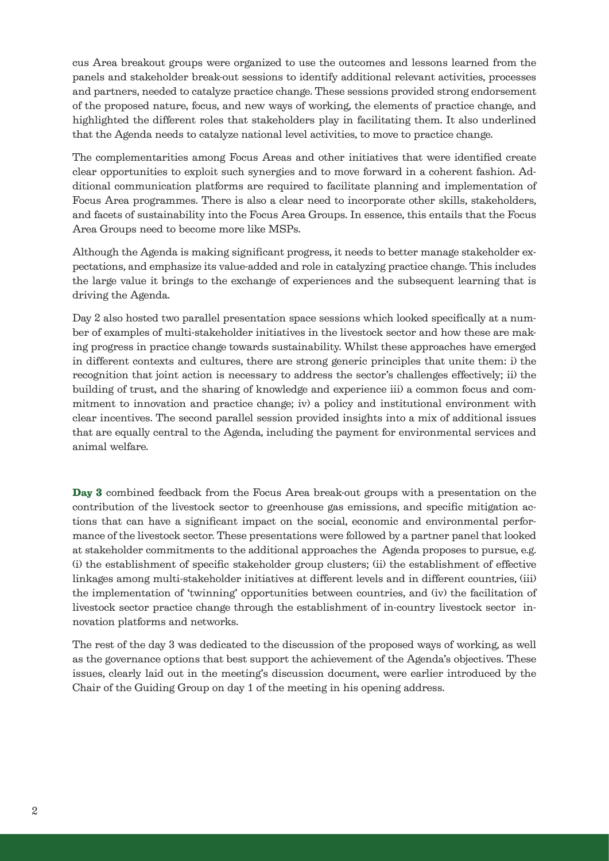cus Area breakout groups were organized to use the outcomes and lessons learned from the panels and stakeholder break-out sessions to identify additional relevant activities, processes and partners, needed to catalyze practice change. These sessions provided strong endorsement of the proposed nature, focus, and new ways of working, the elements of practice change, and highlighted the different roles that stakeholders play in facilitating them. It also underlined that the Agenda needs to catalyze national level activities, to move to practice change.

The complementarities among Focus Areas and other initiatives that were identified create clear opportunities to exploit such synergies and to move forward in a coherent fashion. Additional communication platforms are required to facilitate planning and implementation of Focus Area programmes. There is also a clear need to incorporate other skills, stakeholders, and facets of sustainability into the Focus Area Groups. In essence, this entails that the Focus Area Groups need to become more like MSPs.

Although the Agenda is making significant progress, it needs to better manage stakeholder expectations, and emphasize its value-added and role in catalyzing practice change. This includes the large value it brings to the exchange of experiences and the subsequent learning that is driving the Agenda.

Day 2 also hosted two parallel presentation space sessions which looked specifically at a number of examples of multi-stakeholder initiatives in the livestock sector and how these are making progress in practice change towards sustainability. Whilst these approaches have emerged in different contexts and cultures, there are strong generic principles that unite them: i) the recognition that joint action is necessary to address the sector's challenges effectively; ii) the building of trust, and the sharing of knowledge and experience iii) a common focus and commitment to innovation and practice change; iv) a policy and institutional environment with clear incentives. The second parallel session provided insights into a mix of additional issues that are equally central to the Agenda, including the payment for environmental services and animal welfare.

Day 3 combined feedback from the Focus Area break-out groups with a presentation on the contribution of the livestock sector to greenhouse gas emissions, and specific mitigation actions that can have a significant impact on the social, economic and environmental performance of the livestock sector. These presentations were followed by a partner panel that looked at stakeholder commitments to the additional approaches the Agenda proposes to pursue, e.g. (i) the establishment of specific stakeholder group clusters; (ii) the establishment of effective linkages among multi-stakeholder initiatives at different levels and in different countries, (iii) the implementation of 'twinning' opportunities between countries, and (iv) the facilitation of livestock sector practice change through the establishment of in-country livestock sector innovation platforms and networks.

The rest of the day 3 was dedicated to the discussion of the proposed ways of working, as well as the governance options that best support the achievement of the Agenda's objectives. These issues, clearly laid out in the meeting's discussion document, were earlier introduced by the Chair of the Guiding Group on day 1 of the meeting in his opening address.